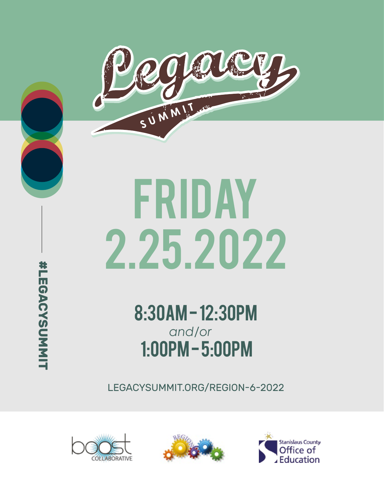

# 2.25.2022 FRIDAY

8:30AM - 12:30PM 1:00PM - 5:00PM *and/or*

LEGACYSUMMIT.ORG/REGION-6-2022







#LEGACYSUMMIT **#LEGACYSUMMIT**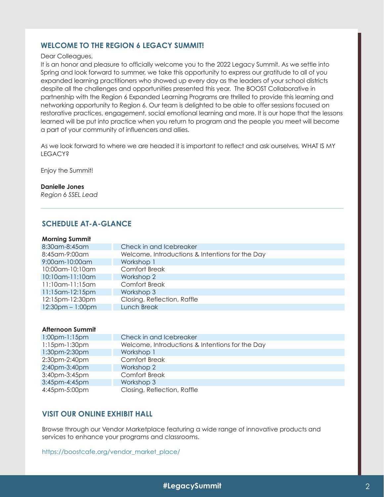# **WELCOME TO THE REGION 6 LEGACY SUMMIT!**

Dear Colleagues,

It is an honor and pleasure to officially welcome you to the 2022 Legacy Summit. As we settle into Spring and look forward to summer, we take this opportunity to express our gratitude to all of you expanded learning practitioners who showed up every day as the leaders of your school districts despite all the challenges and opportunities presented this year. The BOOST Collaborative in partnership with the Region 6 Expanded Learning Programs are thrilled to provide this learning and networking opportunity to Region 6. Our team is delighted to be able to offer sessions focused on restorative practices, engagement, social emotional learning and more. It is our hope that the lessons learned will be put into practice when you return to program and the people you meet will become a part of your community of influencers and allies.

As we look forward to where we are headed it is important to reflect and ask ourselves, WHAT IS MY **LEGACY?** 

Enjoy the Summit!

# **Danielle Jones**

*Region 6 SSEL Lead*

# **SCHEDULE AT-A-GLANCE**

## **Morning Summit**

| 8:30 am-8:45 am        | Check in and Icebreaker                         |
|------------------------|-------------------------------------------------|
| 8:45 am - 9:00 am      | Welcome, Introductions & Intentions for the Day |
| 9:00am-10:00am         | Workshop 1                                      |
| 10:00am-10:10am        | <b>Comfort Break</b>                            |
| 10:10am-11:10am        | Workshop 2                                      |
| 11:10am-11:15am        | <b>Comfort Break</b>                            |
| $11:15$ am- $12:15$ pm | Workshop 3                                      |
| 12:15pm-12:30pm        | Closing, Reflection, Raffle                     |
| $12:30pm - 1:00pm$     | Lunch Break                                     |
|                        |                                                 |

# **Afternoon Summit**

| $1:00$ pm- $1:15$ pm | Check in and Icebreaker                         |
|----------------------|-------------------------------------------------|
| $1:15$ pm- $1:30$ pm | Welcome, Introductions & Intentions for the Day |
| 1:30pm-2:30pm        | Workshop 1                                      |
| 2:30pm-2:40pm        | <b>Comfort Break</b>                            |
| 2:40pm-3:40pm        | Workshop 2                                      |
| 3:40pm-3:45pm        | <b>Comfort Break</b>                            |
| 3:45pm-4:45pm        | Workshop 3                                      |
| 4:45pm-5:00pm        | Closing, Reflection, Raffle                     |

# **VISIT OUR ONLINE EXHIBIT HALL**

Browse through our Vendor Marketplace featuring a wide range of innovative products and services to enhance your programs and classrooms.

https://boostcafe.org/vendor\_market\_place/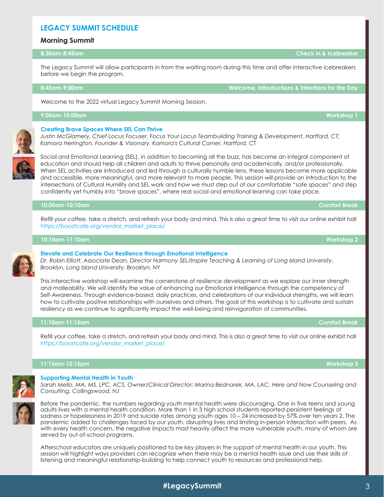# **LEGACY SUMMIT SCHEDULE**

The Legacy Summit will allow participants in from the waiting room during this time and offer interactive icebreakers before we begin the program.

### **8:45am-9:00am Welcome, Introductions & Intentions for the Day**

Welcome to the 2022 virtual Legacy Summit Morning Session.

# **9:00am-10:00am Workshop 1**

## **Creating Brave Spaces Where SEL Can Thrive**

*Justin McGlamery, Chief Locus Focuser, Focus Your Locus Teambuilding Training & Development, Hartford, CT; Kamora Herrington, Founder & Visionary, Kamora's Cultural Corner, Hartford, CT*

Social and Emotional Learning (SEL), in addition to becoming all the buzz, has become an integral component of education and should help all children and adults to thrive personally and academically, and/or professionally. When SEL activities are introduced and led through a culturally humble lens, these lessons become more applicable and accessible, more meaningful, and more relevant to more people. This session will provide an introduction to the intersections of Cultural Humility and SEL work and how we must step out of our comfortable "safe spaces" and step confidently yet humbly into "brave spaces", where real social and emotional learning can take place.

# **10:00am-10:10am Comfort Break**

Refill your coffee, take a stretch, and refresh your body and mind. This is also a great time to visit our online exhibit hall https://boostcafe.org/vendor\_market\_place/

# **10:10am-11:10am Workshop 2**

**Elevate and Celebrate Our Resilience through Emotional Intelligence** *Dr. Robin Elliott, Associate Dean, Director Harmony SEL/Inspire Teaching & Learning of Long Island University, Brooklyn, Long Island University, Brooklyn, NY*

This interactive workshop will examine the cornerstone of resilience development as we explore our inner strength and malleability. We will identify the value of enhancing our Emotional Intelligence through the competency of Self-Awareness. Through evidence-based, daily practices, and celebrations of our individual strengths, we will learn how to cultivate positive relationships with ourselves and others. The goal of this workshop is to cultivate and sustain resiliency as we continue to significantly impact the well-being and reinvigoration of communities.

# **11:10am-11:15am Comfort Break**

Refill your coffee, take a stretch, and refresh your body and mind. This is also a great time to visit our online exhibit hall https://boostcafe.org/vendor\_market\_place/

## **11:15am-12:15pm Workshop 3**

**Supporting Mental Health in Youth**

*Sarah Mello, MA, MS, LPC, ACS, Owner/Clinical Director; Marina Bednarek, MA, LAC, Here and Now Counseling and Consulting, Collingswood, NJ* 



Before the pandemic, the numbers regarding youth mental health were discouraging. One in five teens and young adults lives with a mental health condition. More than 1 in 3 high school students reported persistent feelings of sadness or hopelessness in 2019 and suicide rates among youth ages 10 – 24 increased by 57% over ten years 2. The pandemic added to challenges faced by our youth, disrupting lives and limiting in-person interaction with peers. As with every health concern, the negative impacts most heavily affect the more vulnerable youth, many of whom are served by out-of-school programs.

Afterschool educators are uniquely positioned to be key players in the support of mental health in our youth. This session will highlight ways providers can recognize when there may be a mental health issue and use their skills of listening and meaningful relationship-building to help connect youth to resources and professional help.







**8:30am-8:45am Check in & Icebreaker**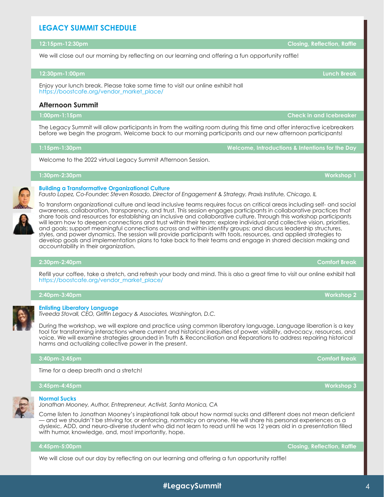# **LEGACY SUMMIT SCHEDULE**

# **12:15pm-12:30pm Closing, Reflection, Raffle**

We will close out our morning by reflecting on our learning and offering a fun opportunity raffle!

## **12:30pm-1:00pm Lunch Break**

Enjoy your lunch break. Please take some time to visit our online exhibit hall https://boostcafe.org/vendor\_market\_place/

# **Afternoon Summit**

**1:00pm-1:15pm Check in and Icebreaker**

The Legacy Summit will allow participants in from the waiting room during this time and offer interactive icebreakers before we begin the program. Welcome back to our morning participants and our new afternoon participants!

Welcome to the 2022 virtual Legacy Summit Afternoon Session.

**1:30pm-2:30pm Workshop 1**

To transform organizational culture and lead inclusive teams requires focus on critical areas including self- and social awareness, collaboration, transparency, and trust. This session engages participants in collaborative practices that share tools and resources for establishing an inclusive and collaborative culture. Through this workshop participants will learn how to deepen connections and trust within their team; explore individual and collective vision, priorities, and goals; support meaningful connections across and within identity groups; and discuss leadership structures, styles, and power dynamics. The session will provide participants with tools, resources, and applied strategies to develop goals and implementation plans to take back to their teams and engage in shared decision making and accountability in their organization.

# **2:30pm-2:40pm Comfort Break**

Refill your coffee, take a stretch, and refresh your body and mind. This is also a great time to visit our online exhibit hall https://boostcafe.org/vendor\_market\_place/

**2:40pm-3:40pm Workshop 2**

# **Enlisting Liberatory Language**

*Tiveeda Stovall, CEO, Griffin Legacy & Associates, Washington, D.C.*

During the workshop, we will explore and practice using common liberatory language. Language liberation is a key tool for transforming interactions where current and historical inequities of power, visibility, advocacy, resources, and voice. We will examine strategies grounded in Truth & Reconciliation and Reparations to address repairing historical harms and actualizing collective power in the present.

# **3:40pm-3:45pm Comfort Break**

Time for a deep breath and a stretch!

# **3:45pm-4:45pm Workshop 3**

# **Normal Sucks**

*Jonathan Mooney, Author, Entrepreneur, Activist, Santa Monica, CA*

Come listen to Jonathan Mooney's inspirational talk about how normal sucks and different does not mean deficient — and we shouldn't be striving for, or enforcing, normalcy on anyone. He will share his personal experiences as a dyslexic, ADD, and neuro-diverse student who did not learn to read until he was 12 years old in a presentation filled with humor, knowledge, and, most importantly, hope.

# **4:45pm-5:00pm Closing, Reflection, Raffle**

We will close out our day by reflecting on our learning and offering a fun opportunity raffle!









**1:15pm-1:30pm Welcome, Introductions & Intentions for the Day**

**Building a Transformative Organizational Culture** *Fausto Lopez, Co-Founder; Steven Rosado, Director of Engagement & Strategy, Praxis Institute, Chicago, IL*